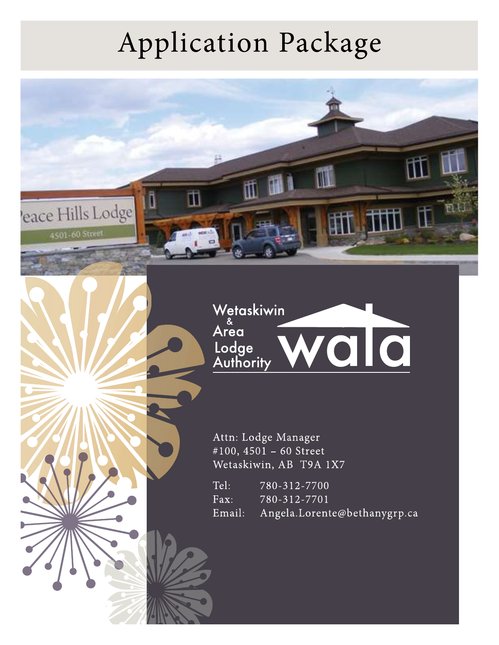# **Application Package**

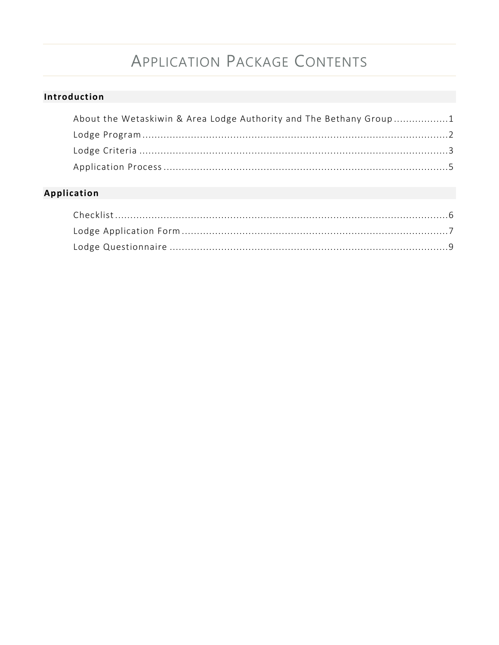### APPLICATION PACKAGE CONTENTS

### Introduction

| About the Wetaskiwin & Area Lodge Authority and The Bethany Group 1 |  |
|---------------------------------------------------------------------|--|
|                                                                     |  |
|                                                                     |  |
|                                                                     |  |

### Application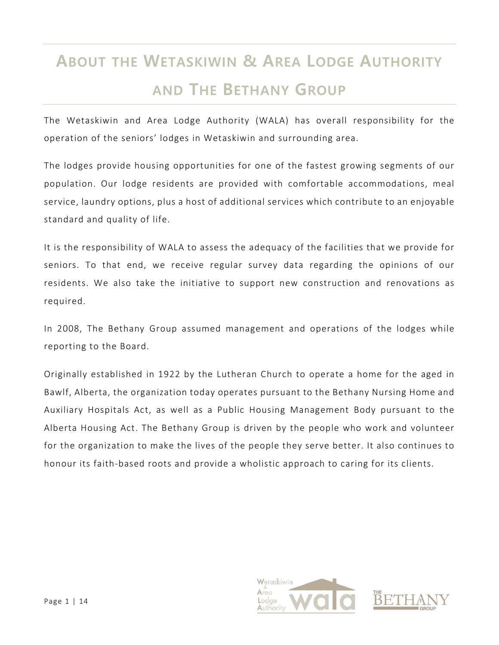## <span id="page-2-0"></span>**ABOUT THE WETASKIWIN & AREA LODGE AUTHORITY AND THE BETHANY GROUP**

The Wetaskiwin and Area Lodge Authority (WALA) has overall responsibility for the operation of the seniors' lodges in Wetaskiwin and surrounding area.

The lodges provide housing opportunities for one of the fastest growing segments of our population. Our lodge residents are provided with comfortable accommodations, meal service, laundry options, plus a host of additional services which contribute to an enjoyable standard and quality of life.

It is the responsibility of WALA to assess the adequacy of the facilities that we provide for seniors. To that end, we receive regular survey data regarding the opinions of our residents. We also take the initiative to support new construction and renovations as required.

In 2008, The Bethany Group assumed management and operations of the lodges while reporting to the Board.

Originally established in 1922 by the Lutheran Church to operate a home for the aged in Bawlf, Alberta, the organization today operates pursuant to the Bethany Nursing Home and Auxiliary Hospitals Act, as well as a Public Housing Management Body pursuant to the Alberta Housing Act. The Bethany Group is driven by the people who work and volunteer for the organization to make the lives of the people they serve better. It also continues to honour its faith-based roots and provide a wholistic approach to caring for its clients.

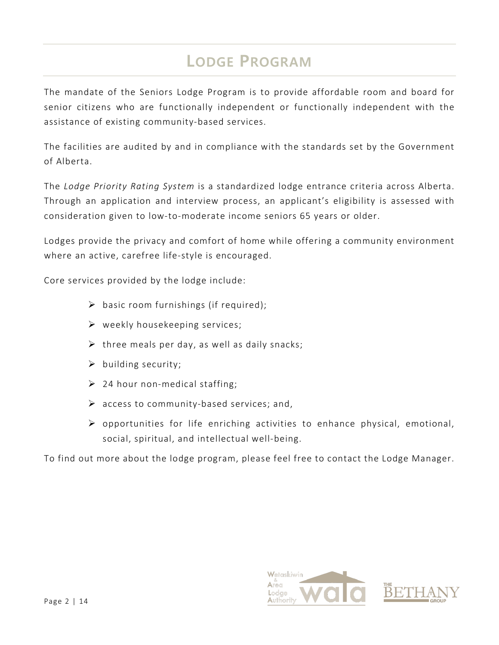### **LODGE PROGRAM**

<span id="page-3-0"></span>The mandate of the Seniors Lodge Program is to provide affordable room and board for senior citizens who are functionally independent or functionally independent with the assistance of existing community-based services.

The facilities are audited by and in compliance with the standards set by the Government of Alberta.

The *Lodge Priority Rating System* is a standardized lodge entrance criteria across Alberta. Through an application and interview process, an applicant's eligibility is assessed with consideration given to low-to-moderate income seniors 65 years or older.

Lodges provide the privacy and comfort of home while offering a community environment where an active, carefree life-style is encouraged.

Core services provided by the lodge include:

- $\triangleright$  basic room furnishings (if required);
- $\triangleright$  weekly housekeeping services;
- $\triangleright$  three meals per day, as well as daily snacks;
- $\triangleright$  building security;
- $\geq$  24 hour non-medical staffing;
- $\triangleright$  access to community-based services; and,
- $\triangleright$  opportunities for life enriching activities to enhance physical, emotional, social, spiritual, and intellectual well-being.

To find out more about the lodge program, please feel free to contact the Lodge Manager.

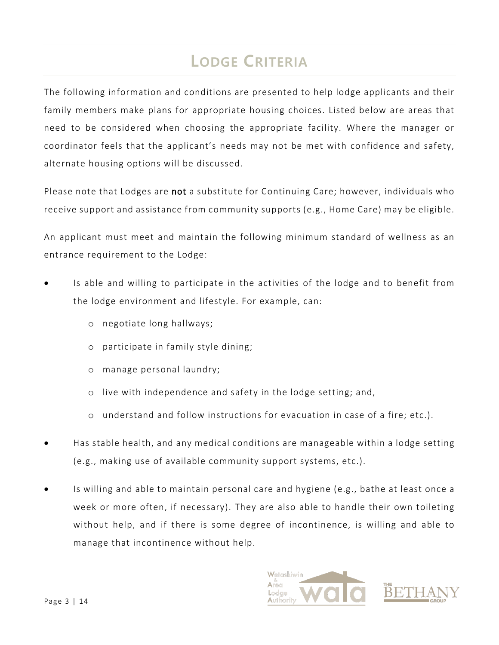### **LODGE CRITERIA**

<span id="page-4-0"></span>The following information and conditions are presented to help lodge applicants and their family members make plans for appropriate housing choices. Listed below are areas that need to be considered when choosing the appropriate facility. Where the manager or coordinator feels that the applicant's needs may not be met with confidence and safety, alternate housing options will be discussed.

Please note that Lodges are not a substitute for Continuing Care; however, individuals who receive support and assistance from community supports (e.g., Home Care) may be eligible.

An applicant must meet and maintain the following minimum standard of wellness as an entrance requirement to the Lodge:

- Is able and willing to participate in the activities of the lodge and to benefit from the lodge environment and lifestyle. For example, can:
	- o negotiate long hallways;
	- o participate in family style dining;
	- o manage personal laundry;
	- o live with independence and safety in the lodge setting; and,
	- o understand and follow instructions for evacuation in case of a fire; etc.).
- Has stable health, and any medical conditions are manageable within a lodge setting (e.g., making use of available community support systems, etc.).
- Is willing and able to maintain personal care and hygiene (e.g., bathe at least once a week or more often, if necessary). They are also able to handle their own toileting without help, and if there is some degree of incontinence, is willing and able to manage that incontinence without help.

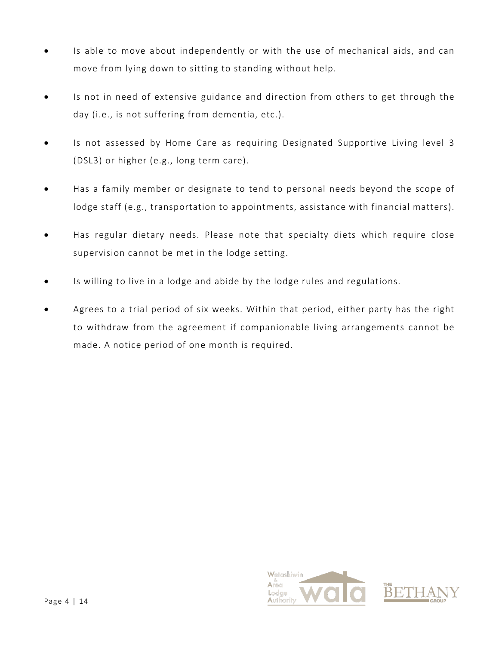- Is able to move about independently or with the use of mechanical aids, and can move from lying down to sitting to standing without help.
- Is not in need of extensive guidance and direction from others to get through the day (i.e., is not suffering from dementia, etc.).
- Is not assessed by Home Care as requiring Designated Supportive Living level 3 (DSL3) or higher (e.g., long term care).
- Has a family member or designate to tend to personal needs beyond the scope of lodge staff (e.g., transportation to appointments, assistance with financial matters).
- Has regular dietary needs. Please note that specialty diets which require close supervision cannot be met in the lodge setting.
- Is willing to live in a lodge and abide by the lodge rules and regulations.
- Agrees to a trial period of six weeks. Within that period, either party has the right to withdraw from the agreement if companionable living arrangements cannot be made. A notice period of one month is required.

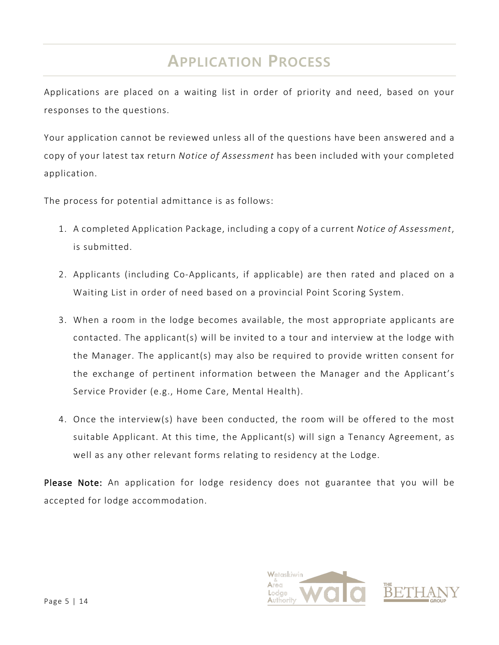### **APPLICATION PROCESS**

<span id="page-6-0"></span>Applications are placed on a waiting list in order of priority and need, based on your responses to the questions.

Your application cannot be reviewed unless all of the questions have been answered and a copy of your latest tax return *Notice of Assessment* has been included with your completed application.

The process for potential admittance is as follows:

- 1. A completed Application Package, including a copy of a current *Notice of Assessment*, is submitted.
- 2. Applicants (including Co-Applicants, if applicable) are then rated and placed on a Waiting List in order of need based on a provincial Point Scoring System.
- 3. When a room in the lodge becomes available, the most appropriate applicants are contacted. The applicant(s) will be invited to a tour and interview at the lodge with the Manager. The applicant(s) may also be required to provide written consent for the exchange of pertinent information between the Manager and the Applicant's Service Provider (e.g., Home Care, Mental Health).
- 4. Once the interview(s) have been conducted, the room will be offered to the most suitable Applicant. At this time, the Applicant(s) will sign a Tenancy Agreement, as well as any other relevant forms relating to residency at the Lodge.

Please Note: An application for lodge residency does not guarantee that you will be accepted for lodge accommodation.

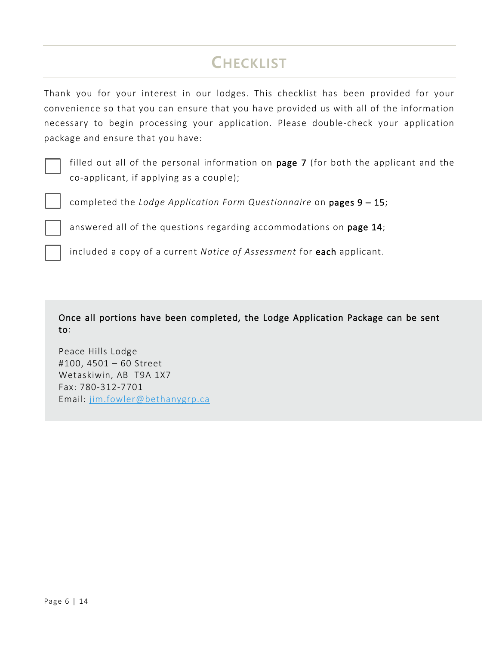### **CHECKLIST**

<span id="page-7-0"></span>Thank you for your interest in our lodges. This checklist has been provided for your convenience so that you can ensure that you have provided us with all of the information necessary to begin processing your application. Please double-check your application package and ensure that you have:



filled out all of the personal information on page 7 (for both the applicant and the co-applicant, if applying as a couple);

completed the *Lodge Application Form Questionnaire* on pages 9 – 15;

answered all of the questions regarding accommodations on page 14;

included a copy of a current *Notice of Assessment* for each applicant.

Once all portions have been completed, the Lodge Application Package can be sent to:

Peace Hills Lodge #100, 4501 – 60 Street Wetaskiwin, AB T9A 1X7 Fax: 780-312-7701 Email: [jim.fowler@bethanygrp.ca](mailto:jim.fowler@bethanygrp.ca)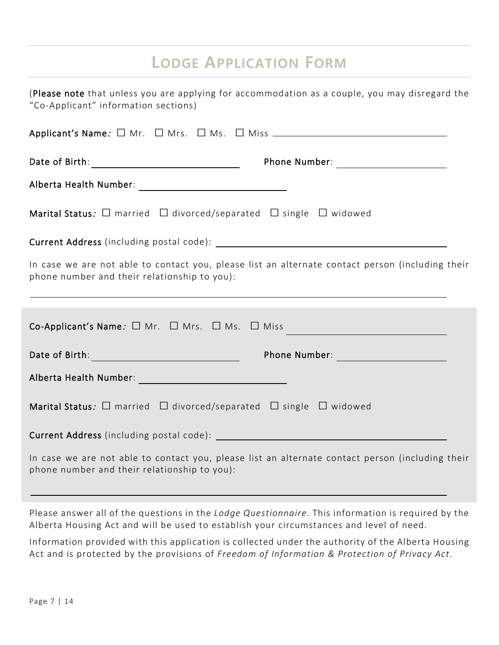### **LODGE APPLICATION FORM**

<span id="page-8-0"></span>

| (Please note that unless you are applying for accommodation as a couple, you may disregard the<br>"Co-Applicant" information sections)           |                                                                                                                                                                                                                                     |
|--------------------------------------------------------------------------------------------------------------------------------------------------|-------------------------------------------------------------------------------------------------------------------------------------------------------------------------------------------------------------------------------------|
|                                                                                                                                                  |                                                                                                                                                                                                                                     |
|                                                                                                                                                  |                                                                                                                                                                                                                                     |
|                                                                                                                                                  |                                                                                                                                                                                                                                     |
| <b>Marital Status:</b> $\Box$ married $\Box$ divorced/separated $\Box$ single $\Box$ widowed                                                     |                                                                                                                                                                                                                                     |
|                                                                                                                                                  |                                                                                                                                                                                                                                     |
| In case we are not able to contact you, please list an alternate contact person (including their<br>phone number and their relationship to you): |                                                                                                                                                                                                                                     |
| $Co\text{-}{\sf Applicationt's Name: }\square$ Mr. $\square$ Mrs. $\square$ Ms. $\square$ Miss                                                   |                                                                                                                                                                                                                                     |
| Date of Birth: 2008 and 2008 and 2008 and 2008 and 2008 and 2008 and 2008 and 2008 and 2008 and 2008 and 2008                                    | <b>Phone Number:</b> And the contract of the contract of the contract of the contract of the contract of the contract of the contract of the contract of the contract of the contract of the contract of the contract of the contra |
|                                                                                                                                                  |                                                                                                                                                                                                                                     |
| Marital Status: $\Box$ married $\Box$ divorced/separated $\Box$ single $\Box$ widowed                                                            |                                                                                                                                                                                                                                     |
|                                                                                                                                                  |                                                                                                                                                                                                                                     |
| In case we are not able to contact you, please list an alternate contact person (including their<br>phone number and their relationship to you): |                                                                                                                                                                                                                                     |

Please answer all of the questions in the *Lodge Questionnaire*. This information is required by the Alberta Housing Act and will be used to establish your circumstances and level of need.

Information provided with this application is collected under the authority of the Alberta Housing Act and is protected by the provisions of *Freedom of Information & Protection of Privacy Act*.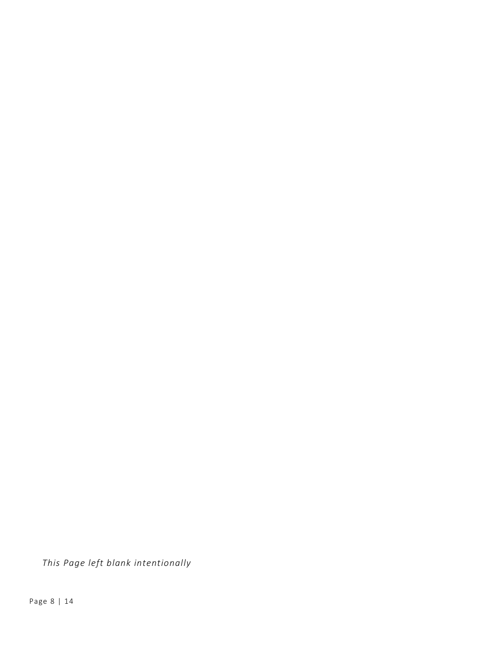*This Page left blank intentionally*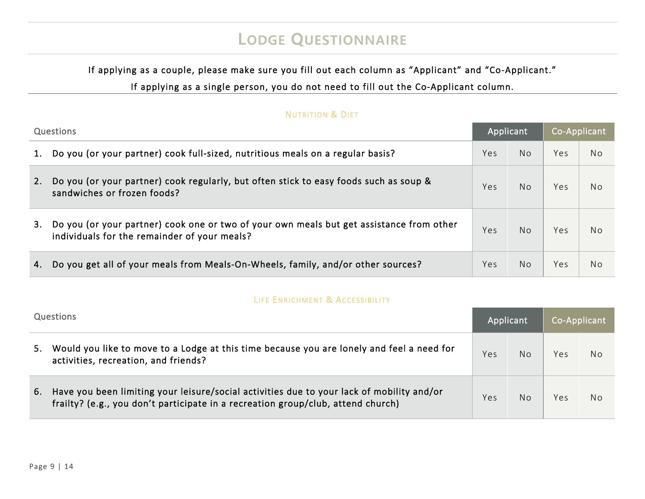### **LODGE QUESTIONNAIRE**

If applying as a couple, please make sure you fill out each column as "Applicant" and "Co-Applicant."

### If applying as a single person, you do not need to fill out the Co-Applicant column.

<span id="page-10-0"></span>

|    | Questions                                                                                                                                | Applicant |     | Co-Applicant |           |
|----|------------------------------------------------------------------------------------------------------------------------------------------|-----------|-----|--------------|-----------|
| 1. | Do you (or your partner) cook full-sized, nutritious meals on a regular basis?                                                           | Yes       | No. | Yes          | <b>No</b> |
| 2. | Do you (or your partner) cook regularly, but often stick to easy foods such as soup &<br>sandwiches or frozen foods?                     | Yes       | No. | Yes          | <b>No</b> |
| 3. | Do you (or your partner) cook one or two of your own meals but get assistance from other<br>individuals for the remainder of your meals? | Yes       | No. | Yes          | <b>No</b> |
| 4. | Do you get all of your meals from Meals-On-Wheels, family, and/or other sources?                                                         | Yes       | No. | Yes          | <b>No</b> |

#### NUTRITION & DIET

#### LIFE ENRICHMENT & ACCESSIBILITY

|    | Questions                                                                                                                                                                     |     | Co-Applicant<br>Applicant |     |                |
|----|-------------------------------------------------------------------------------------------------------------------------------------------------------------------------------|-----|---------------------------|-----|----------------|
| 5. | Would you like to move to a Lodge at this time because you are lonely and feel a need for<br>activities, recreation, and friends?                                             | Yes | Nο                        | Yes | No.            |
| 6. | Have you been limiting your leisure/social activities due to your lack of mobility and/or<br>frailty? (e.g., you don't participate in a recreation group/club, attend church) | Yes | Nο                        | Yes | N <sub>o</sub> |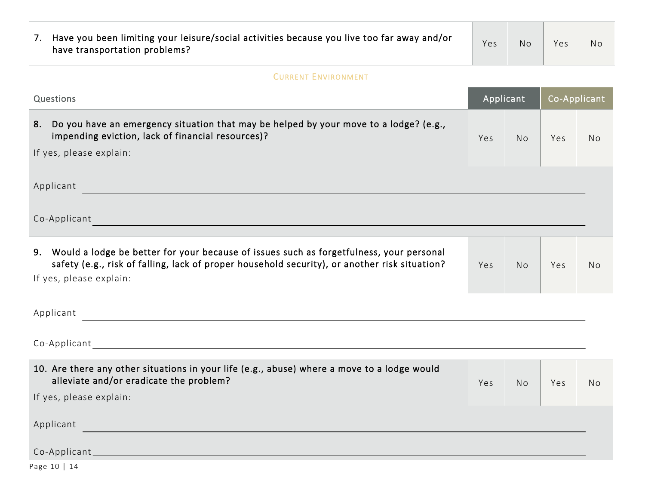| 7. Have you been limiting your leisure/social activities because you live too far away and/or<br>have transportation problems? | Yes | No | Yes | <b>Nc</b> |
|--------------------------------------------------------------------------------------------------------------------------------|-----|----|-----|-----------|
|                                                                                                                                |     |    |     |           |

#### CURRENT ENVIRONMENT

| <b>Questions</b>                                                                                                                                                                                                       | Applicant |                | Co-Applicant |           |
|------------------------------------------------------------------------------------------------------------------------------------------------------------------------------------------------------------------------|-----------|----------------|--------------|-----------|
| Do you have an emergency situation that may be helped by your move to a lodge? (e.g.,<br>8.<br>impending eviction, lack of financial resources)?<br>If yes, please explain:                                            | Yes       | <b>No</b>      | Yes          | No.       |
| Applicant                                                                                                                                                                                                              |           |                |              |           |
| Co-Applicant                                                                                                                                                                                                           |           |                |              |           |
| 9. Would a lodge be better for your because of issues such as forgetfulness, your personal<br>safety (e.g., risk of falling, lack of proper household security), or another risk situation?<br>If yes, please explain: | Yes       | N <sub>o</sub> | Yes          | <b>No</b> |
| Applicant                                                                                                                                                                                                              |           |                |              |           |

Co-Applicant

| 10. Are there any other situations in your life (e.g., abuse) where a move to a lodge would<br>alleviate and/or eradicate the problem?<br>If yes, please explain: | Yes | <b>No</b> | Yes | Νo |
|-------------------------------------------------------------------------------------------------------------------------------------------------------------------|-----|-----------|-----|----|
| Applicant                                                                                                                                                         |     |           |     |    |
| Co-Applicant                                                                                                                                                      |     |           |     |    |

Page 10 | 14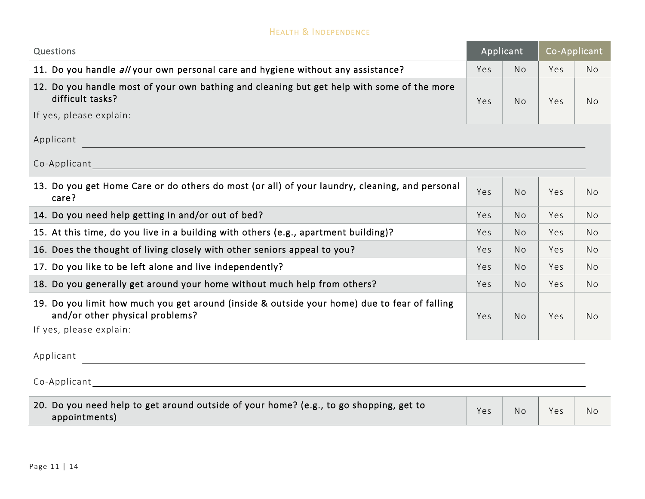#### HEALTH & INDEPENDENCE

| Questions                                                                                                                                                  |     | Applicant<br>Co-Applicant |     |                |
|------------------------------------------------------------------------------------------------------------------------------------------------------------|-----|---------------------------|-----|----------------|
| 11. Do you handle all your own personal care and hygiene without any assistance?                                                                           | Yes | <b>No</b>                 | Yes | No             |
| 12. Do you handle most of your own bathing and cleaning but get help with some of the more<br>difficult tasks?                                             | Yes | <b>No</b>                 | Yes | <b>No</b>      |
| If yes, please explain:                                                                                                                                    |     |                           |     |                |
| Applicant                                                                                                                                                  |     |                           |     |                |
| Co-Applicant                                                                                                                                               |     |                           |     |                |
|                                                                                                                                                            |     |                           |     |                |
| 13. Do you get Home Care or do others do most (or all) of your laundry, cleaning, and personal<br>care?                                                    | Yes | <b>No</b>                 | Yes | No             |
| 14. Do you need help getting in and/or out of bed?                                                                                                         | Yes | <b>No</b>                 | Yes | No             |
| 15. At this time, do you live in a building with others (e.g., apartment building)?                                                                        | Yes | No                        | Yes | No             |
| 16. Does the thought of living closely with other seniors appeal to you?                                                                                   | Yes | <b>No</b>                 | Yes | No             |
| 17. Do you like to be left alone and live independently?                                                                                                   | Yes | <b>No</b>                 | Yes | No             |
| 18. Do you generally get around your home without much help from others?                                                                                   | Yes | <b>No</b>                 | Yes | No             |
| 19. Do you limit how much you get around (inside & outside your home) due to fear of falling<br>and/or other physical problems?<br>If yes, please explain: | Yes | N <sub>o</sub>            | Yes | N <sub>o</sub> |
|                                                                                                                                                            |     |                           |     |                |
| Applicant                                                                                                                                                  |     |                           |     |                |
| Co-Applicant                                                                                                                                               |     |                           |     |                |

| 20. Do you need help to get around outside of your home? (e.g., to go shopping, get to | Yes | N <sub>o</sub> | Yes | No |
|----------------------------------------------------------------------------------------|-----|----------------|-----|----|
| appointments)                                                                          |     |                |     |    |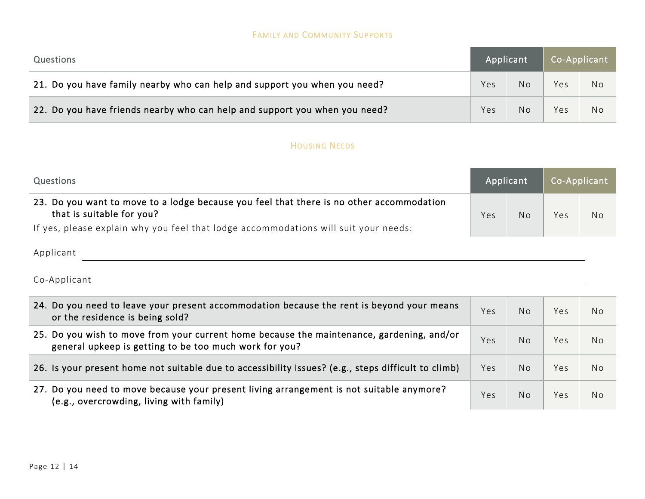#### FAMILY AND COMMUNITY SUPPORTS

| Questions                                                                  |     | Applicant | Co-Applicant |    |
|----------------------------------------------------------------------------|-----|-----------|--------------|----|
| 21. Do you have family nearby who can help and support you when you need?  | Yes | No        | Yes          | No |
| 22. Do you have friends nearby who can help and support you when you need? | Yes | No        | Yes          | No |

#### HOUSING NEEDS

<u> 1989 - Johann John Stone, mars et al. 1989 - John Stone, mars et al. 1989 - John Stone, mars et al. 1989 - Joh</u>

| <b>Questions</b>                                                                                                                                                                                             | Applicant |    | Co-Applicant |           |
|--------------------------------------------------------------------------------------------------------------------------------------------------------------------------------------------------------------|-----------|----|--------------|-----------|
| 23. Do you want to move to a lodge because you feel that there is no other accommodation<br>that is suitable for you?<br>If yes, please explain why you feel that lodge accommodations will suit your needs: | Yes       | Nο | Yes          | <b>No</b> |

Applicant contract and the contract of the contract of the contract of the contract of the contract of the contract of the contract of the contract of the contract of the contract of the contract of the contract of the con

Co-Applicant

| 24. Do you need to leave your present accommodation because the rent is beyond your means<br>or the residence is being sold?                        | Yes | Nο | Yes | No. |
|-----------------------------------------------------------------------------------------------------------------------------------------------------|-----|----|-----|-----|
| 25. Do you wish to move from your current home because the maintenance, gardening, and/or<br>general upkeep is getting to be too much work for you? | Yes | Νo | Yes | No. |
| 26. Is your present home not suitable due to accessibility issues? (e.g., steps difficult to climb)                                                 | Yes | No | Yes | No. |
| 27. Do you need to move because your present living arrangement is not suitable anymore?<br>(e.g., overcrowding, living with family)                | Yes | Nο | Yes | No. |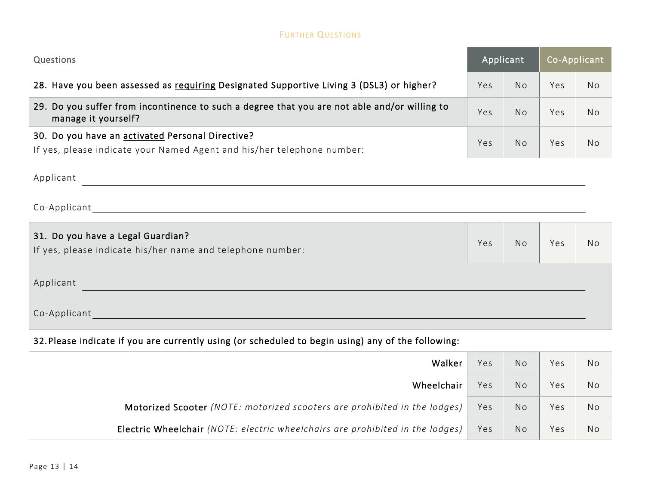#### FURTHER QUESTIONS

| <b>Questions</b>                                                                                                           | Applicant |    | Co-Applicant |    |
|----------------------------------------------------------------------------------------------------------------------------|-----------|----|--------------|----|
| 28. Have you been assessed as requiring Designated Supportive Living 3 (DSL3) or higher?                                   | Yes       | No | Yes          | No |
| 29. Do you suffer from incontinence to such a degree that you are not able and/or willing to<br>manage it yourself?        | Yes       | Nο | Yes          | No |
| 30. Do you have an activated Personal Directive?<br>If yes, please indicate your Named Agent and his/her telephone number: | Yes       | Nο | Yes          | No |

<u> 1980 - Andrea Santa Andrea Santa Andrea Santa Andrea Santa Andrea Santa Andrea Santa Andrea Santa Andrea San</u>

Applicant

Co-Applicant

| 31. Do you have a Legal Guardian?<br>If yes, please indicate his/her name and telephone number: | Yes | <b>No</b> | Yes | No |
|-------------------------------------------------------------------------------------------------|-----|-----------|-----|----|
| Applicant                                                                                       |     |           |     |    |
| Co-Applicant                                                                                    |     |           |     |    |

32.Please indicate if you are currently using (or scheduled to begin using) any of the following:

| Walker                                                                        | Yes | <b>No</b> | Yes | No  |
|-------------------------------------------------------------------------------|-----|-----------|-----|-----|
| Wheelchair                                                                    | Yes | <b>No</b> | Yes | No. |
| Motorized Scooter (NOTE: motorized scooters are prohibited in the lodges)     | Yes | <b>No</b> | Yes | No  |
| Electric Wheelchair (NOTE: electric wheelchairs are prohibited in the lodges) | Yes | No        | Yes | No  |